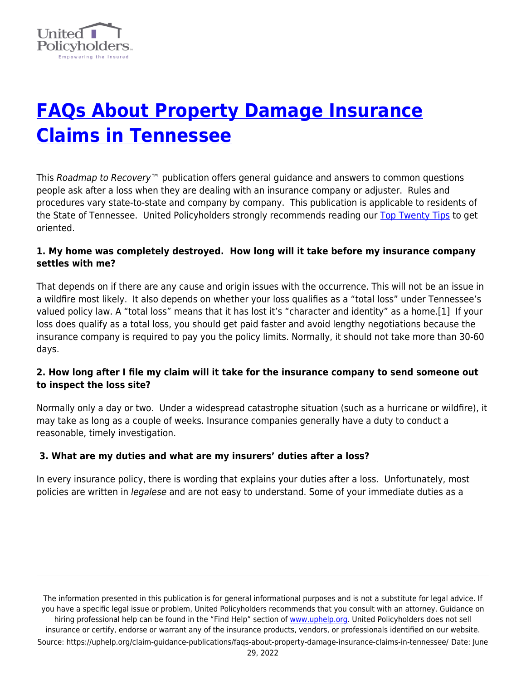

# **[FAQs About Property Damage Insurance](https://uphelp.org/claim-guidance-publications/faqs-about-property-damage-insurance-claims-in-tennessee/) [Claims in Tennessee](https://uphelp.org/claim-guidance-publications/faqs-about-property-damage-insurance-claims-in-tennessee/)**

This Roadmap to Recovery<sup>™</sup> publication offers general guidance and answers to common questions people ask after a loss when they are dealing with an insurance company or adjuster. Rules and procedures vary state-to-state and company by company. This publication is applicable to residents of the State of Tennessee. United Policyholders strongly recommends reading our [Top Twenty Tips](https://uphelp.org/claim-guidance-publications/top-20-insurance-recovery-tips/) to get oriented.

## **1. My home was completely destroyed. How long will it take before my insurance company settles with me?**

That depends on if there are any cause and origin issues with the occurrence. This will not be an issue in a wildfire most likely. It also depends on whether your loss qualifies as a "total loss" under Tennessee's valued policy law. A "total loss" means that it has lost it's "character and identity" as a home.[1] If your loss does qualify as a total loss, you should get paid faster and avoid lengthy negotiations because the insurance company is required to pay you the policy limits. Normally, it should not take more than 30-60 days.

### **2. How long after I file my claim will it take for the insurance company to send someone out to inspect the loss site?**

Normally only a day or two. Under a widespread catastrophe situation (such as a hurricane or wildfire), it may take as long as a couple of weeks. Insurance companies generally have a duty to conduct a reasonable, timely investigation.

# **3. What are my duties and what are my insurers' duties after a loss?**

In every insurance policy, there is wording that explains your duties after a loss. Unfortunately, most policies are written in *legalese* and are not easy to understand. Some of your immediate duties as a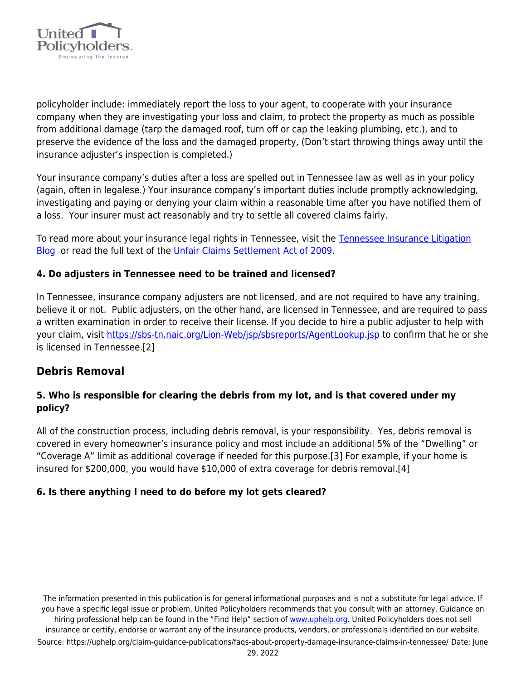

policyholder include: immediately report the loss to your agent, to cooperate with your insurance company when they are investigating your loss and claim, to protect the property as much as possible from additional damage (tarp the damaged roof, turn off or cap the leaking plumbing, etc.), and to preserve the evidence of the loss and the damaged property, (Don't start throwing things away until the insurance adjuster's inspection is completed.)

Your insurance company's duties after a loss are spelled out in Tennessee law as well as in your policy (again, often in legalese.) Your insurance company's important duties include promptly acknowledging, investigating and paying or denying your claim within a reasonable time after you have notified them of a loss. Your insurer must act reasonably and try to settle all covered claims fairly.

To read more about your insurance legal rights in Tennessee, visit the [Tennessee Insurance Litigation](http://www.tninsurancelitigation.com/) [Blog](http://www.tninsurancelitigation.com/) or read the full text of the [Unfair Claims Settlement Act of 2009.](https://www.ca1.uscourts.gov/sites/ca1/files/citations/17-1121_USBAnkNavHLCEscrowCitedURL.pdf)

## **4. Do adjusters in Tennessee need to be trained and licensed?**

In Tennessee, insurance company adjusters are not licensed, and are not required to have any training, believe it or not. Public adjusters, on the other hand, are licensed in Tennessee, and are required to pass a written examination in order to receive their license. If you decide to hire a public adjuster to help with your claim, visit<https://sbs-tn.naic.org/Lion-Web/jsp/sbsreports/AgentLookup.jsp>to confirm that he or she is licensed in Tennessee.[2]

# **Debris Removal**

# **5. Who is responsible for clearing the debris from my lot, and is that covered under my policy?**

All of the construction process, including debris removal, is your responsibility. Yes, debris removal is covered in every homeowner's insurance policy and most include an additional 5% of the "Dwelling" or "Coverage A" limit as additional coverage if needed for this purpose.[3] For example, if your home is insured for \$200,000, you would have \$10,000 of extra coverage for debris removal.[4]

### **6. Is there anything I need to do before my lot gets cleared?**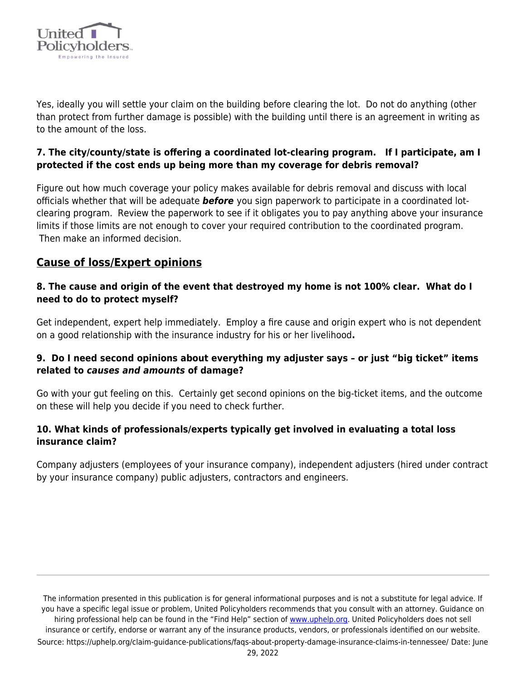

Yes, ideally you will settle your claim on the building before clearing the lot. Do not do anything (other than protect from further damage is possible) with the building until there is an agreement in writing as to the amount of the loss.

# **7. The city/county/state is offering a coordinated lot-clearing program. If I participate, am I protected if the cost ends up being more than my coverage for debris removal?**

Figure out how much coverage your policy makes available for debris removal and discuss with local officials whether that will be adequate *before* you sign paperwork to participate in a coordinated lotclearing program. Review the paperwork to see if it obligates you to pay anything above your insurance limits if those limits are not enough to cover your required contribution to the coordinated program. Then make an informed decision.

# **Cause of loss/Expert opinions**

## **8. The cause and origin of the event that destroyed my home is not 100% clear. What do I need to do to protect myself?**

Get independent, expert help immediately. Employ a fire cause and origin expert who is not dependent on a good relationship with the insurance industry for his or her livelihood**.**

# **9. Do I need second opinions about everything my adjuster says – or just "big ticket" items related to** *causes and amounts* **of damage?**

Go with your gut feeling on this. Certainly get second opinions on the big-ticket items, and the outcome on these will help you decide if you need to check further.

## **10. What kinds of professionals/experts typically get involved in evaluating a total loss insurance claim?**

Company adjusters (employees of your insurance company), independent adjusters (hired under contract by your insurance company) public adjusters, contractors and engineers.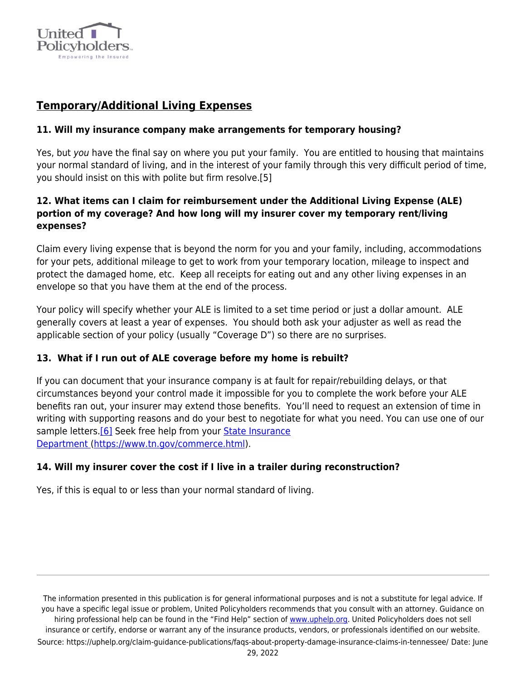

# **Temporary/Additional Living Expenses**

## **11. Will my insurance company make arrangements for temporary housing?**

Yes, but you have the final say on where you put your family. You are entitled to housing that maintains your normal standard of living, and in the interest of your family through this very difficult period of time, you should insist on this with polite but firm resolve.[5]

## **12. What items can I claim for reimbursement under the Additional Living Expense (ALE) portion of my coverage? And how long will my insurer cover my temporary rent/living expenses?**

Claim every living expense that is beyond the norm for you and your family, including, accommodations for your pets, additional mileage to get to work from your temporary location, mileage to inspect and protect the damaged home, etc. Keep all receipts for eating out and any other living expenses in an envelope so that you have them at the end of the process.

Your policy will specify whether your ALE is limited to a set time period or just a dollar amount. ALE generally covers at least a year of expenses. You should both ask your adjuster as well as read the applicable section of your policy (usually "Coverage D") so there are no surprises.

# **13. What if I run out of ALE coverage before my home is rebuilt?**

If you can document that your insurance company is at fault for repair/rebuilding delays, or that circumstances beyond your control made it impossible for you to complete the work before your ALE benefits ran out, your insurer may extend those benefits. You'll need to request an extension of time in writing with supporting reasons and do your best to negotiate for what you need. You can use one of our sample letters.<sup>[6]</sup> Seek free help from your [State Insurance](https://www.tn.gov/commerce.html) [Department \(https://www.tn.gov/commerce.html](https://www.tn.gov/commerce.html)).

### **14. Will my insurer cover the cost if I live in a trailer during reconstruction?**

Yes, if this is equal to or less than your normal standard of living.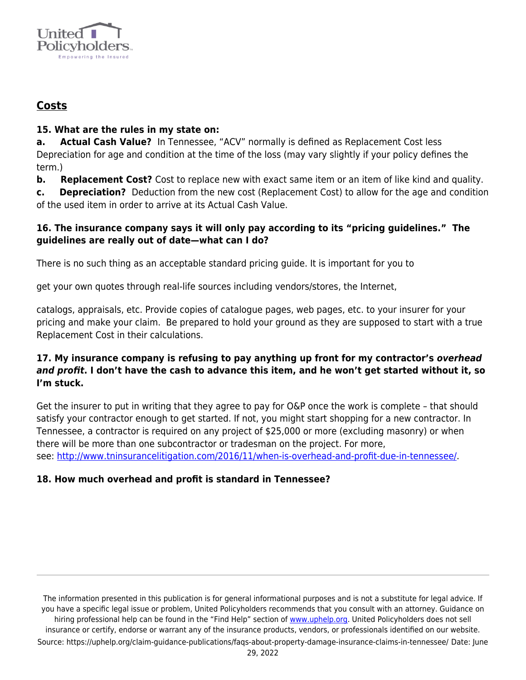

# **Costs**

## **15. What are the rules in my state on:**

**a. Actual Cash Value?** In Tennessee, "ACV" normally is defined as Replacement Cost less Depreciation for age and condition at the time of the loss (may vary slightly if your policy defines the term.)

**b.** Replacement Cost? Cost to replace new with exact same item or an item of like kind and quality.

**c. Depreciation?** Deduction from the new cost (Replacement Cost) to allow for the age and condition of the used item in order to arrive at its Actual Cash Value.

## **16. The insurance company says it will only pay according to its "pricing guidelines." The guidelines are really out of date—what can I do?**

There is no such thing as an acceptable standard pricing guide. It is important for you to

get your own quotes through real-life sources including vendors/stores, the Internet,

catalogs, appraisals, etc. Provide copies of catalogue pages, web pages, etc. to your insurer for your pricing and make your claim. Be prepared to hold your ground as they are supposed to start with a true Replacement Cost in their calculations.

# **17. My insurance company is refusing to pay anything up front for my contractor's** *overhead and profit***. I don't have the cash to advance this item, and he won't get started without it, so I'm stuck.**

Get the insurer to put in writing that they agree to pay for O&P once the work is complete – that should satisfy your contractor enough to get started. If not, you might start shopping for a new contractor. In Tennessee, a contractor is required on any project of \$25,000 or more (excluding masonry) or when there will be more than one subcontractor or tradesman on the project. For more, see: [http://www.tninsurancelitigation.com/2016/11/when-is-overhead-and-profit-due-in-tennessee/.](http://www.tninsurancelitigation.com/2016/11/when-is-overhead-and-profit-due-in-tennessee/)

# **18. How much overhead and profit is standard in Tennessee?**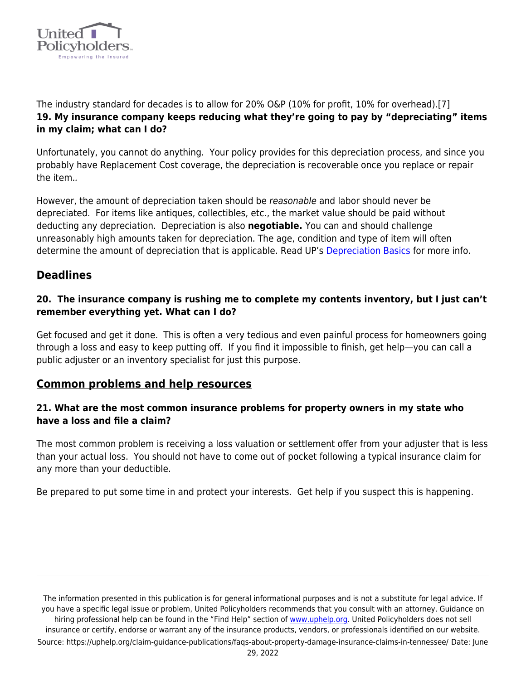

The industry standard for decades is to allow for 20% O&P (10% for profit, 10% for overhead).[7] **19. My insurance company keeps reducing what they're going to pay by "depreciating" items in my claim; what can I do?** 

Unfortunately, you cannot do anything. Your policy provides for this depreciation process, and since you probably have Replacement Cost coverage, the depreciation is recoverable once you replace or repair the item..

However, the amount of depreciation taken should be reasonable and labor should never be depreciated. For items like antiques, collectibles, etc., the market value should be paid without deducting any depreciation. Depreciation is also **negotiable.** You can and should challenge unreasonably high amounts taken for depreciation. The age, condition and type of item will often determine the amount of depreciation that is applicable. Read UP's [Depreciation Basics](https://uphelp.org/wp-content/uploads/2020/10/DepreciationTipSheet.pdf) for more info.

# **Deadlines**

## **20. The insurance company is rushing me to complete my contents inventory, but I just can't remember everything yet. What can I do?**

Get focused and get it done. This is often a very tedious and even painful process for homeowners going through a loss and easy to keep putting off. If you find it impossible to finish, get help—you can call a public adjuster or an inventory specialist for just this purpose.

# **Common problems and help resources**

## **21. What are the most common insurance problems for property owners in my state who have a loss and file a claim?**

The most common problem is receiving a loss valuation or settlement offer from your adjuster that is less than your actual loss. You should not have to come out of pocket following a typical insurance claim for any more than your deductible.

Be prepared to put some time in and protect your interests. Get help if you suspect this is happening.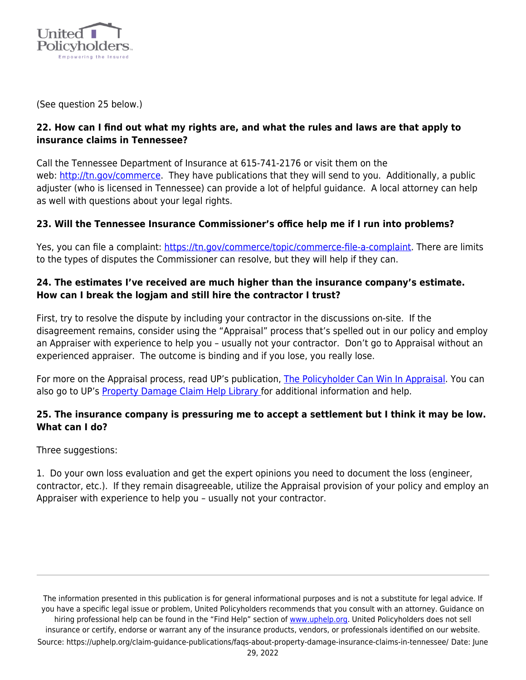

(See question 25 below.)

## **22. How can I find out what my rights are, and what the rules and laws are that apply to insurance claims in Tennessee?**

Call the Tennessee Department of Insurance at 615-741-2176 or visit them on the web: [http://tn.gov/commerce](https://www.tn.gov/commerce). They have publications that they will send to you. Additionally, a public adjuster (who is licensed in Tennessee) can provide a lot of helpful guidance. A local attorney can help as well with questions about your legal rights.

## **23. Will the Tennessee Insurance Commissioner's office help me if I run into problems?**

Yes, you can file a complaint: [https://tn.gov/commerce/topic/commerce-file-a-complaint.](https://tn.gov/commerce/topic/commerce-file-a-complaint) There are limits to the types of disputes the Commissioner can resolve, but they will help if they can.

## **24. The estimates I've received are much higher than the insurance company's estimate. How can I break the logjam and still hire the contractor I trust?**

First, try to resolve the dispute by including your contractor in the discussions on-site. If the disagreement remains, consider using the "Appraisal" process that's spelled out in our policy and employ an Appraiser with experience to help you – usually not your contractor. Don't go to Appraisal without an experienced appraiser. The outcome is binding and if you lose, you really lose.

For more on the Appraisal process, read UP's publication, [The Policyholder Can Win In Appraisal](https://uphelp.org/claim-guidance-publications/policyholders-can-win-in-appraisal/). You can also go to UP's [Property Damage Claim Help Library f](https://uphelp.org/claim-guidance-publications/)or additional information and help.

## **25. The insurance company is pressuring me to accept a settlement but I think it may be low. What can I do?**

Three suggestions:

1. Do your own loss evaluation and get the expert opinions you need to document the loss (engineer, contractor, etc.). If they remain disagreeable, utilize the Appraisal provision of your policy and employ an Appraiser with experience to help you – usually not your contractor.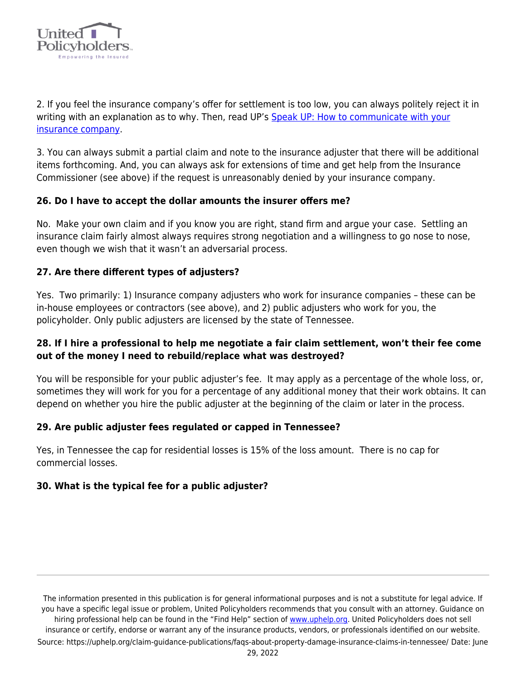

2. If you feel the insurance company's offer for settlement is too low, you can always politely reject it in writing with an explanation as to why. Then, read UP's [Speak UP: How to communicate with your](https://uphelp.org/claim-guidance-publications/speak-up-how-to-communicate-with-your-insurance-company/) [insurance company.](https://uphelp.org/claim-guidance-publications/speak-up-how-to-communicate-with-your-insurance-company/)

3. You can always submit a partial claim and note to the insurance adjuster that there will be additional items forthcoming. And, you can always ask for extensions of time and get help from the Insurance Commissioner (see above) if the request is unreasonably denied by your insurance company.

### **26. Do I have to accept the dollar amounts the insurer offers me?**

No. Make your own claim and if you know you are right, stand firm and argue your case. Settling an insurance claim fairly almost always requires strong negotiation and a willingness to go nose to nose, even though we wish that it wasn't an adversarial process.

## **27. Are there different types of adjusters?**

Yes. Two primarily: 1) Insurance company adjusters who work for insurance companies – these can be in-house employees or contractors (see above), and 2) public adjusters who work for you, the policyholder. Only public adjusters are licensed by the state of Tennessee.

## **28. If I hire a professional to help me negotiate a fair claim settlement, won't their fee come out of the money I need to rebuild/replace what was destroyed?**

You will be responsible for your public adjuster's fee. It may apply as a percentage of the whole loss, or, sometimes they will work for you for a percentage of any additional money that their work obtains. It can depend on whether you hire the public adjuster at the beginning of the claim or later in the process.

### **29. Are public adjuster fees regulated or capped in Tennessee?**

Yes, in Tennessee the cap for residential losses is 15% of the loss amount. There is no cap for commercial losses.

### **30. What is the typical fee for a public adjuster?**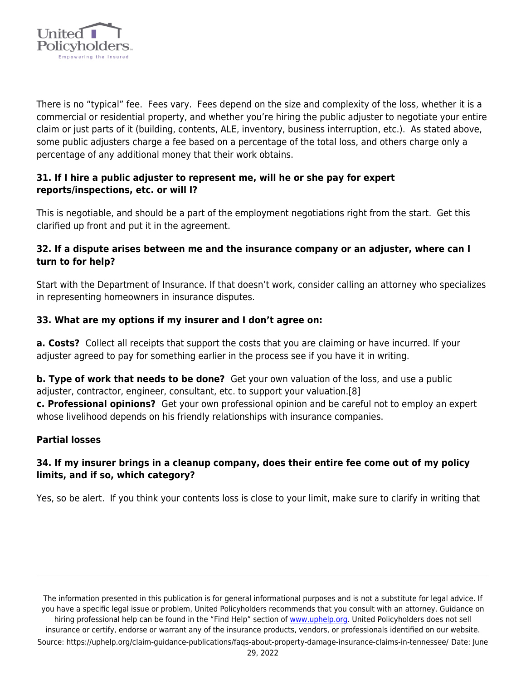

There is no "typical" fee. Fees vary. Fees depend on the size and complexity of the loss, whether it is a commercial or residential property, and whether you're hiring the public adjuster to negotiate your entire claim or just parts of it (building, contents, ALE, inventory, business interruption, etc.). As stated above, some public adjusters charge a fee based on a percentage of the total loss, and others charge only a percentage of any additional money that their work obtains.

## **31. If I hire a public adjuster to represent me, will he or she pay for expert reports/inspections, etc. or will I?**

This is negotiable, and should be a part of the employment negotiations right from the start. Get this clarified up front and put it in the agreement.

## **32. If a dispute arises between me and the insurance company or an adjuster, where can I turn to for help?**

Start with the Department of Insurance. If that doesn't work, consider calling an attorney who specializes in representing homeowners in insurance disputes.

# **33. What are my options if my insurer and I don't agree on:**

**a. Costs?** Collect all receipts that support the costs that you are claiming or have incurred. If your adjuster agreed to pay for something earlier in the process see if you have it in writing.

**b. Type of work that needs to be done?** Get your own valuation of the loss, and use a public adjuster, contractor, engineer, consultant, etc. to support your valuation.[8]

**c. Professional opinions?** Get your own professional opinion and be careful not to employ an expert whose livelihood depends on his friendly relationships with insurance companies.

# **Partial losses**

# **34. If my insurer brings in a cleanup company, does their entire fee come out of my policy limits, and if so, which category?**

Yes, so be alert. If you think your contents loss is close to your limit, make sure to clarify in writing that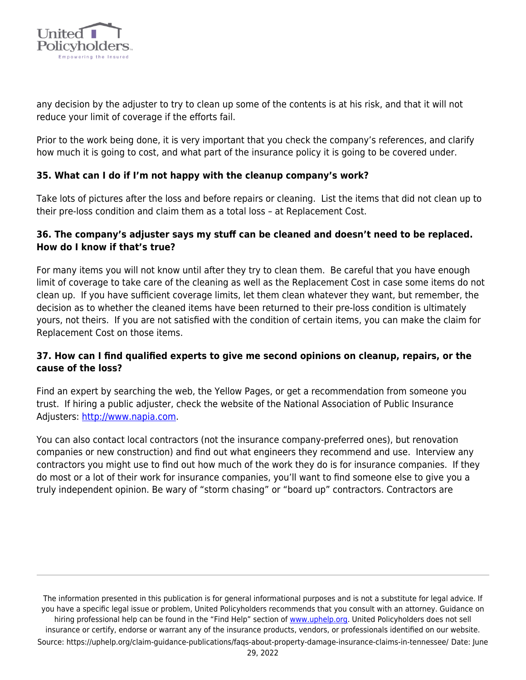

any decision by the adjuster to try to clean up some of the contents is at his risk, and that it will not reduce your limit of coverage if the efforts fail.

Prior to the work being done, it is very important that you check the company's references, and clarify how much it is going to cost, and what part of the insurance policy it is going to be covered under.

## **35. What can I do if I'm not happy with the cleanup company's work?**

Take lots of pictures after the loss and before repairs or cleaning. List the items that did not clean up to their pre-loss condition and claim them as a total loss – at Replacement Cost.

## **36. The company's adjuster says my stuff can be cleaned and doesn't need to be replaced. How do I know if that's true?**

For many items you will not know until after they try to clean them. Be careful that you have enough limit of coverage to take care of the cleaning as well as the Replacement Cost in case some items do not clean up. If you have sufficient coverage limits, let them clean whatever they want, but remember, the decision as to whether the cleaned items have been returned to their pre-loss condition is ultimately yours, not theirs. If you are not satisfied with the condition of certain items, you can make the claim for Replacement Cost on those items.

## **37. How can I find qualified experts to give me second opinions on cleanup, repairs, or the cause of the loss?**

Find an expert by searching the web, the Yellow Pages, or get a recommendation from someone you trust. If hiring a public adjuster, check the website of the National Association of Public Insurance Adjusters: [http://www.napia.com.](http://www.napia.com/)

You can also contact local contractors (not the insurance company-preferred ones), but renovation companies or new construction) and find out what engineers they recommend and use. Interview any contractors you might use to find out how much of the work they do is for insurance companies. If they do most or a lot of their work for insurance companies, you'll want to find someone else to give you a truly independent opinion. Be wary of "storm chasing" or "board up" contractors. Contractors are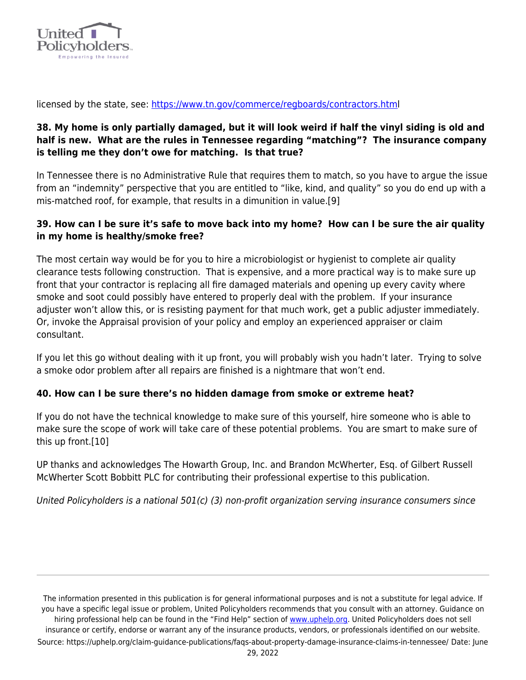

licensed by the state, see:<https://www.tn.gov/commerce/regboards/contractors.html>

## **38. My home is only partially damaged, but it will look weird if half the vinyl siding is old and half is new. What are the rules in Tennessee regarding "matching"? The insurance company is telling me they don't owe for matching. Is that true?**

In Tennessee there is no Administrative Rule that requires them to match, so you have to argue the issue from an "indemnity" perspective that you are entitled to "like, kind, and quality" so you do end up with a mis-matched roof, for example, that results in a dimunition in value.[9]

## **39. How can I be sure it's safe to move back into my home? How can I be sure the air quality in my home is healthy/smoke free?**

The most certain way would be for you to hire a microbiologist or hygienist to complete air quality clearance tests following construction. That is expensive, and a more practical way is to make sure up front that your contractor is replacing all fire damaged materials and opening up every cavity where smoke and soot could possibly have entered to properly deal with the problem. If your insurance adjuster won't allow this, or is resisting payment for that much work, get a public adjuster immediately. Or, invoke the Appraisal provision of your policy and employ an experienced appraiser or claim consultant.

If you let this go without dealing with it up front, you will probably wish you hadn't later. Trying to solve a smoke odor problem after all repairs are finished is a nightmare that won't end.

### **40. How can I be sure there's no hidden damage from smoke or extreme heat?**

If you do not have the technical knowledge to make sure of this yourself, hire someone who is able to make sure the scope of work will take care of these potential problems. You are smart to make sure of this up front.[10]

UP thanks and acknowledges The Howarth Group, Inc. and Brandon McWherter, Esq. of Gilbert Russell McWherter Scott Bobbitt PLC for contributing their professional expertise to this publication.

United Policyholders is a national 501(c) (3) non-profit organization serving insurance consumers since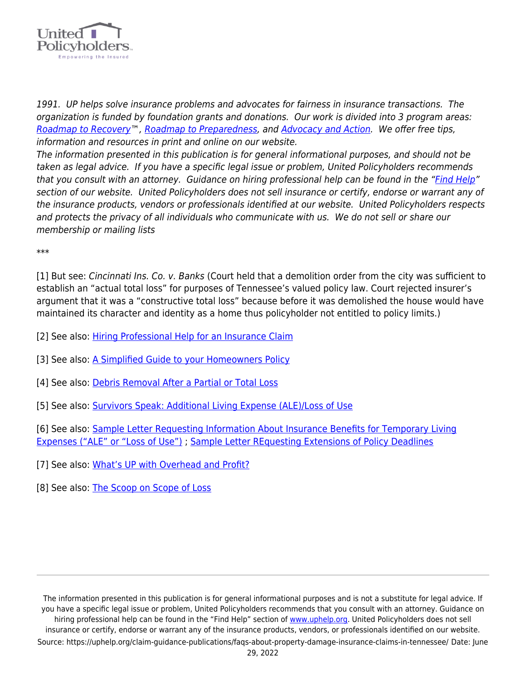

1991. UP helps solve insurance problems and advocates for fairness in insurance transactions. The organization is funded by foundation grants and donations. Our work is divided into 3 program areas: [Roadmap to Recovery](https://uphelp.org/recovery/)™, [Roadmap to Preparedness,](https://uphelp.org/preparedness/) and [Advocacy and Action](https://uphelp.org/advocacy/). We offer free tips, information and resources in print and online on our website.

The information presented in this publication is for general informational purposes, and should not be taken as legal advice. If you have a specific legal issue or problem, United Policyholders recommends that you consult with an attorney. Guidance on hiring professional help can be found in the "[Find Help](https://uphelp.org/recovery/professional-help-directory/)" section of our website. United Policyholders does not sell insurance or certify, endorse or warrant any of the insurance products, vendors or professionals identified at our website. United Policyholders respects and protects the privacy of all individuals who communicate with us. We do not sell or share our membership or mailing lists

\*\*\*

[1] But see: Cincinnati Ins. Co. v. Banks (Court held that a demolition order from the city was sufficient to establish an "actual total loss" for purposes of Tennessee's valued policy law. Court rejected insurer's argument that it was a "constructive total loss" because before it was demolished the house would have maintained its character and identity as a home thus policyholder not entitled to policy limits.)

- [2] See also: [Hiring Professional Help for an Insurance Claim](https://uphelp.org/road-to-recovery/steps/getting-organized/)
- [3] See also: [A Simplified Guide to your Homeowners Policy](https://uphelp.org/claim-guidance-publications/a-simplified-guide-to-your-homeowners-policy/)
- [4] See also: [Debris Removal After a Partial or Total Loss](https://uphelp.org/claim-guidance-publications/debris-removal-after-a-partial-or-total-loss/)
- [5] See also: [Survivors Speak: Additional Living Expense \(ALE\)/Loss of Use](https://uphelp.org/claim-guidance-publications/survivors-speak-additional-living-expense-ale-loss-of-use/)

[6] See also: [Sample Letter Requesting Information About Insurance Benefits for Temporary Living](https://uphelp.org/claim-guidance-publications/sample-letter-requesting-information-about-insurance-benefits-for-temporary-living-expenses-ale-or-loss-of-use/) [Expenses \("ALE" or "Loss of Use"\)](https://uphelp.org/claim-guidance-publications/sample-letter-requesting-information-about-insurance-benefits-for-temporary-living-expenses-ale-or-loss-of-use/) ; [Sample Letter REquesting Extensions of Policy Deadlines](https://uphelp.org/claim-guidance-publications/sample-letter-requesting-extensions-of-policy-deadlines/)

- [7] See also: [What's UP with Overhead and Profit?](https://uphelp.org/claim-guidance-publications/whats-up-with-overhead-and-profit/)
- [8] See also: [The Scoop on Scope of Loss](https://uphelp.org/claim-guidance-publications/the-scoop-on-scope-of-loss/)